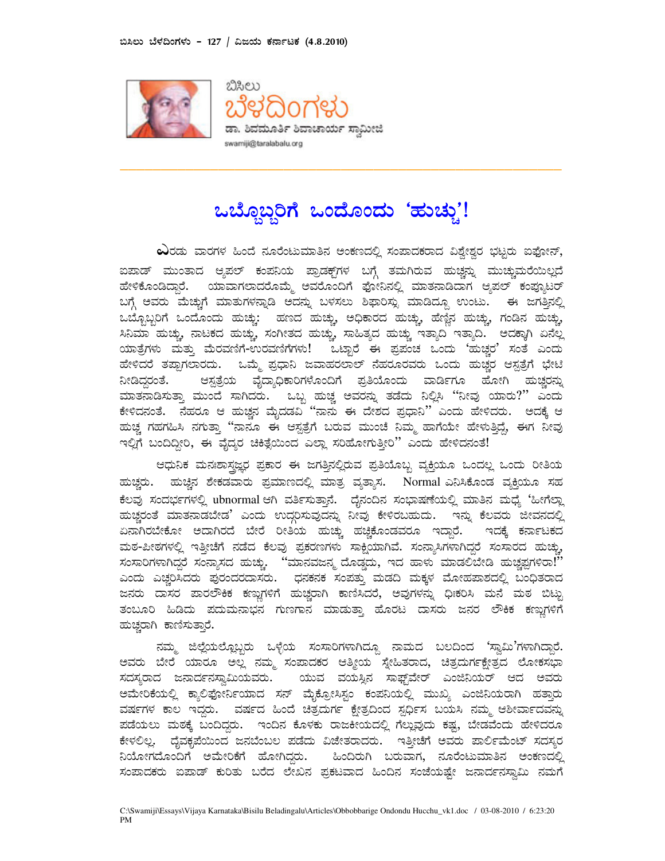



## ಒಬ್ಬೊಬ್ಬರಿಗೆ ಒಂದೊಂದು 'ಹುಚ್ಚು'!

**\_\_\_\_\_\_\_\_\_\_\_\_\_\_\_\_\_\_\_\_\_\_\_\_\_\_\_\_\_\_\_\_\_\_\_\_\_\_\_\_\_\_\_\_\_\_\_\_\_\_\_\_\_\_**

 $\boldsymbol{\omega}$ ರಡು ವಾರಗಳ ಹಿಂದೆ ನೂರೆಂಟುಮಾತಿನ ಅಂಕಣದಲ್ಲಿ ಸಂಪಾದಕರಾದ ವಿಶ್ವೇಶ್ವರ ಭಟ್ಟರು ಐಫೋನ್, ಐಪಾಡ್ ಮುಂತಾದ ಆ್ಯಪಲ್ ಕಂಪನಿಯ ಪ್ರಾಡಕ್ಟ್1ಳ ಬಗ್ಗೆ ತಮಗಿರುವ ಹುಚ್ಚನ್ನು ಮುಚ್ಚುಮರೆಯಿಲ್ಲದೆ ಹೇಳಿಕೊಂಡಿದ್ದಾರೆ. ಯಾವಾಗಲಾದರೊಮ್ಮೆ ಅವರೊಂದಿಗೆ ಫೋನಿನಲ್ಲಿ ಮಾತನಾಡಿದಾಗ ಆ್ಯಪಲ್ ಕಂಪ್ಯೂಟರ ಬಗ್ಗೆ ಅವರು ಮೆಚ್ಚುಗೆ ಮಾತುಗಳನ್ನಾಡಿ ಅದನ್ನು ಬಳಸಲು ಶಿಫಾರಿಸ್ಸು ಮಾಡಿದ್ದೂ ಉಂಟು. ಈ ಜಗತ್ತಿನಲ್ಲಿ ಒಬ್ಬೊಬ್ಬರಿಗೆ ಒಂದೊಂದು ಹುಚ್ಚು: ಹಣದ ಹುಚ್ಚು, ಅಧಿಕಾರದ ಹುಚ್ಚು, ಹೆಣ್ಣಿನ ಹುಚ್ಚು, ಗಂಡಿನ ಹುಚ್ಚು, ಸಿನಿಮಾ ಹುಚ್ಚು, ನಾಟಕದ ಹುಚ್ಚು, ಸಂಗೀತದ ಹುಚ್ಚು, ಸಾಹಿತ್ಯದ ಹುಚ್ಚು ಇತ್ಯಾದಿ ಇತ್ಯಾದಿ. ಅದಕ್ಕಾಗಿ ಏನೆಲ್ಲ ಯಾತ್ರೆಗಳು ಮತ್ತು ಮೆರವಣಿಗೆ-ಉರವಣಿಗೆಗಳು! ಒಟ್ಟಾರೆ ಈ ಪ್ರಪಂಚ ಒಂದು `ಹುಚ್ಚರ′ ಸಂತೆ ಎಂದ ಹೇಳಿದರೆ ತಪ್ಪಾಗಲಾರದು. ಒಮ್ಮೆ ಪ್ರಧಾನಿ ಜವಾಹರಲಾಲ್ ನೆಹರೂರವರು ಒಂದು ಹುಚ್ಚರ ಆಸ್ಪತ್ರೆಗೆ ಭೇ ನೀಡಿದ್ದರಂತೆ. ರಂತೆ. ಆಸ್ಪತ್ರೆಯ ವೈದ್ಯಾಧಿಕಾರಿಗಳೊಂದಿಗೆ ಪ್ರತಿಯೊಂದು ವಾರ್ಡಿಗೂ ಹೋಗಿ ಹುಚ್ಚರನ್ನು ಮಾತನಾಡಿಸುತ್ತಾ ಮುಂದೆ ಸಾಗಿದರು. ಒಬ್ಬ ಹುಚ್ಚ ಅವರನ್ನು ತಡೆದು ನಿಲ್ಲಿಸಿ "ನೀವು ಯಾರು?′′ ಎಂದ 5  % 8 / - & / 0 1 S  NN ?   +  ) OO P  / 5  - 8  I & ಹುಚ್ಚ ಗಹಗಹಿಸಿ ನಗುತ್ತಾ ''ನಾನೂ ಈ ಆಸ್ಪತ್ರೆಗೆ ಬರುವ ಮುಂಚೆ ನಿಮ್ಮ ಹಾಗೆಯೇ ಹೇಳುತ್ತಿದ್ದೆ, ಈಗ ನೀವು ಇಲ್ಲಿಗೆ ಬಂದಿದ್ದೀರಿ, ಈ ವೈದ್ಯರ ಚಿಕಿತ್ಸೆಯಿಂದ ಎಲ್ಲಾ ಸರಿಹೋಗುತ್ತೀರಿ ಎಂದು ಹೇಳಿದನಂತೆ!

ಆಧುನಿಕ ಮನಃಶಾಸ್ತ್ರಜ್ಞರ ಪ್ರಕಾರ ಈ ಜಗತ್ತಿನಲ್ಲಿರುವ ಪ್ರತಿಯೊಬ್ಬ ವ್ಯಕ್ತಿಯೂ ಒಂದಲ್ಲ ಒಂದು ರೀತಿಯ ಹುಚ್ಚರು. ಹುಚ್ಚಿನ ಶೇಕಡವಾರು ಪ್ರಮಾಣದಲ್ಲಿ ಮಾತ್ರ ವ್ಯತ್ಯಾಸ. Normal ಎನಿಸಿಕೊಂಡ ವ್ಯಕ್ತಿಯೂ ಸಹ ಕೆಲವು ಸಂದರ್ಭಗಳಲ್ಲಿ ubnormal ಆಗಿ ವರ್ತಿಸುತ್ತಾನೆ. ದೈನಂದಿನ ಸಂಭಾಷಣೆಯಲ್ಲಿ ಮಾತಿನ ಮಧ್ಯೆ 'ಹೀಗೆಲ್ಲಾ ಹುಚ್ಚರಂತೆ ಮಾತನಾಡಬೇಡ' ಎಂದು ಉದ್ಗರಿಸುವುದನ್ನು ನೀವು ಕೇಳಿರಬಹುದು. ಇನ್ನು ಕೆಲವರು ಜೀವನದಲ್ಲಿ ಏನಾಗಿರಬೇಕೋ ಅದಾಗಿರದೆ ಬೇರೆ ರೀತಿಯ ಹುಚ್ಚು ಹಚ್ಚಿಕೊಂಡವರೂ ಇದ್ದಾರೆ. ಇದಕ್ಕೆ ಕರ್ನಾಟಕದ ಮಠ-ಪೀಠಗಳಲ್ಲಿ ಇತ್ತೀಚೆಗೆ ನಡೆದ ಕೆಲವು ಪ್ರಕರಣಗಳು ಸಾಕ್ಷಿಯಾಗಿವೆ. ಸಂನ್ಯಾಸಿಗಳಾಗಿದ್ದರೆ ಸಂಸಾರದ ಹುಚ್ಚು, ಸಂಸಾರಿಗಳಾಗಿದ್ದರೆ ಸಂನ್ಯಾಸದ ಹುಚ್ಚು. ``ಮಾನವಜನ್ಮ ದೊಡ್ಡದು, ಇದ ಹಾಳು ಮಾಡಲಿಬೇಡಿ ಹುಚ್ಚಪ್ಪಗಳಿರಾ!´´ ಎಂದು ಎಚ್ಚರಿಸಿದರು ಪುರಂದರದಾಸರು. ಧನಕನಕ ಸಂಪತ್ತು ಮಡದಿ ಮಕ್ಕಳ ಮೋಹಪಾಶದಲ್ಲಿ ಬಂಧಿತರಾದ ಜನರು ದಾಸರ ಪಾರಲೌಕಿಕ ಕಣ್ಣುಗಳಿಗೆ ಹುಚ್ಚರಾಗಿ ಕಾಣಿಸಿದರೆ, ಅವುಗಳನ್ನು ಧಿಃಕರಿಸಿ ಮನೆ ಮಠ ಬಿಟ್ಟು ತಂಬೂರಿ ಹಿಡಿದು ಪದುಮನಾಭನ ಗುಣಗಾನ ಮಾಡುತ್ತಾ ಹೊರಟ ದಾಸರು ಜನರ ಲೌಕಿಕ ಕಣ್ಣುಗಳಿಗೆ ಹುಚ್ಚರಾಗಿ ಕಾಣಿಸುತ್ತಾರೆ.

ನಮ್ಮ ಜಿಲ್ಲೆಯಲ್ಲೊಬ್ಬರು ಒಳ್ಳೆಯ ಸಂಸಾರಿಗಳಾಗಿದ್ದೂ ನಾಮದ ಬಲದಿಂದ 'ಸ್ವಾಮಿ'ಗಳಾಗಿದ್ದಾರೆ. ಅವರು ಬೇರೆ ಯಾರೂ ಅಲ್ಲ ನಮ್ಮ ಸಂಪಾದಕರ ಆತ್ಮೀಯ ಸ್ನೇಹಿತರಾದ, ಚಿತ್ರದುರ್ಗಕ್ಷೇತ್ರದ ಲೋಕಸಭ ಸದಸ್ಯರಾದ ಜನಾರ್ದನಸ್ವಾಮಿಯವರು. ಯುವ ವಯಸ್ಸಿನ ಸಾಫ್ಟ್**ವೇರ್ ಎಂಜಿನಿಯರ್ ಆದ ಅವ**ರ ಅಮೇರಿಕೆಯಲ್ಲಿ ಕ್ಯಾಲಿಫೋರ್ನಿಯಾದ ಸನ್ ಮೈಕ್ರೋಸಿಸ್ಟಂ ಕಂಪನಿಯಲ್ಲಿ ಮುಖ್ಯ ಎಂಜಿನಿಯರಾಗಿ ಹತ್ತಾರ ವರ್ಷಗಳ ಕಾಲ ಇದ್ದರು. ವರ್ಷದ ಹಿಂದೆ ಚಿತ್ರದುರ್ಗ ಕ್ಷೇತ್ರದಿಂದ ಸ್ಪರ್ಧಿಸ ಬಯಸಿ ನಮ್ಮ ಆಶೀರ್ವಾದವನ್ನು ಪಡೆಯಲು ಮಠಕ್ಕೆ ಬಂದಿದ್ದರು. ಇಂದಿನ ಕೊಳಕು ರಾಜಕೀಯದಲ್ಲಿ ಗೆಲ್ಲುವುದು ಕಷ್ಟ, ಬೇಡವೆಂದು ಹೇಳಿದರ ಕೇಳಲಿಲ್ಲ. ದೈವಕೃಪೆಯಿಂದ ಜನಬೆಂಬಲ ಪಡೆದು ವಿಜೇತರಾದರು. ಇತ್ತೀಚೆಗೆ ಅವರು ಪಾರ್ಲಿಮೆಂಟ್ ಸದಸ್ಯರ ನಿಯೋಗದೊಂದಿಗೆ ಅಮೇರಿಕೆಗೆ ಹೋಗಿದ್ದರು. ಹಿಂದಿರುಗಿ ಬರುವಾಗ, ನೂರೆಂಟುಮಾತಿನ ಅಂಕಣದಲ್ಲಿ ಸಂಪಾದಕರು ಐಪಾಡ್ ಕುರಿತು ಬರೆದ ಲೇಖನ ಪ್ರಕಟವಾದ ಹಿಂದಿನ ಸಂಜೆಯಷ್ಟೇ ಜನಾರ್ದನಸ್ವಾಮಿ ನಮಗೆ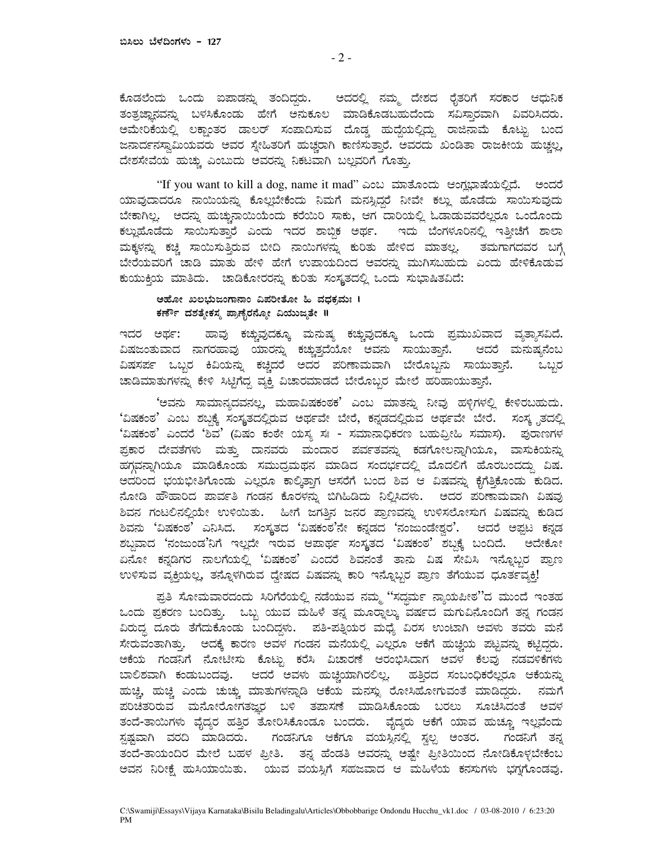ಕೊಡಲೆಂದು ಒಂದು ಐಪಾಡನ್ನು ತಂದಿದ್ದರು. ಅದರಲ್ಲಿ ನಮ್ಮ ದೇಶದ ರೈತರಿಗೆ ಸರಕಾರ ಆಧುನಿಕ ತಂತ್ರಜ್ಞಾನವನ್ನು ಬಳಸಿಕೊಂಡು ಹೇಗೆ ಅನುಕೂಲ ಮಾಡಿಕೊಡಬಹುದೆಂದು ಸವಿಸ್ತಾರವಾಗಿ ವಿವರಿಸಿದರು. ಅಮೇರಿಕೆಯಲ್ಲಿ ಲಕ್ಷಾಂತರ ಡಾಲರ್ ಸಂಪಾದಿಸುವ ದೊಡ್ಡ ಹುದ್ದೆಯಲ್ಲಿದ್ದು ರಾಜಿನಾಮೆ ಕೊಟ್ಟು ಬಂದ ಜನಾರ್ದನಸ್ವಾಮಿಯವರು ಅವರ ಸ್ನೇಹಿತರಿಗೆ ಹುಚ್ಚರಾಗಿ ಕಾಣಿಸುತ್ತಾರೆ. ಅವರದು ಖಂಡಿತಾ ರಾಜಕೀಯ ಹುಚ್ಚಲ್ಲ, ದೇಶಸೇವೆಯ ಹುಚ್ಚು ಎಂಬುದು ಅವರನ್ನು ನಿಕಟವಾಗಿ ಬಲ್ಲವರಿಗೆ ಗೊತ್ತು.

"If you want to kill a dog, name it mad" ಎಂಬ ಮಾತೊಂದು ಆಂಗ್ಲಭಾಷೆಯಲ್ಲಿದೆ. ಅಂದರೆ ಯಾವುದಾದರೂ ನಾಯಿಯನ್ನು ಕೊಲ್ಲಬೇಕೆಂದು ನಿಮಗೆ ಮನಸ್ಸಿದ್ದರೆ ನೀವೇ ಕಲ್ಲು ಹೊಡೆದು ಸಾಯಿಸುವುದು ಬೇಕಾಗಿಲ್ಲ. ಅದನ್ನು ಹುಚ್ರುನಾಯಿಯೆಂದು ಕರೆಯಿರಿ ಸಾಕು, ಆಗ ದಾರಿಯಲ್ಲಿ ಓಡಾಡುವವರೆಲ್ಲರೂ ಒಂದೊಂದು ಕಲ್ಲುಹೊಡೆದು ಸಾಯಿಸುತ್ತಾರೆ ಎಂದು ಇದರ ಶಾಬ್ದಿಕ ಅರ್ಥ. ಇದು ಬೆಂಗಳೂರಿನಲ್ಲಿ ಇತ್ತೀಚೆಗೆ ಶಾಲಾ ಮಕ್ಕಳನ್ನು ಕಚ್ಚಿ ಸಾಯಿಸುತ್ತಿರುವ ಬೀದಿ ನಾಯಿಗಳನ್ನು ಕುರಿತು ಹೇಳಿದ ಮಾತಲ್ಲ. ತಮಗಾಗದವರ ಬಗ್ಗೆ ಬೇರೆಯವರಿಗೆ ಚಾಡಿ ಮಾತು ಹೇಳಿ ಹೇಗೆ ಉಪಾಯದಿಂದ ಅವರನ್ನು ಮುಗಿಸಬಹುದು ಎಂದು ಹೇಳಿಕೊಡುವ ಕುಯುಕ್ತಿಯ ಮಾತಿದು. ಚಾಡಿಕೋರರನ್ನು ಕುರಿತು ಸಂಸ್ಥತದಲ್ಲಿ ಒಂದು ಸುಭಾಷಿತವಿದೆ:

## ಅಹೋ ಖಲಭುಜಂಗಾನಾಂ ವಿಪರೀತೋ ಹಿ ವಧಕ್ರಮಃ । ಕರ್ಣೌ ದಶತ್ಯೇಕಸ್ಯ ಪ್ರಾಣೈರನ್ಯೋ ವಿಯುಜ್ಯತೇ ॥

ಇದರ ಅರ್ಥ: ಹಾವು ಕಚ್ಚುವುದಕ್ಕೂ ಮನುಷ್ಯ ಕಚ್ಚುವುದಕ್ಕೂ ಒಂದು ಪ್ರಮುಖವಾದ ವ್ಯತ್ಯಾಸವಿದೆ. ವಿಷಜಂತುವಾದ ನಾಗರಹಾವು ಯಾರನ್ನು ಕಚ್ಚುತ್ತದೆಯೋ ಅವನು ಸಾಯುತ್ತಾನೆ. ಆದರೆ ಮನುಷ್ಯನೆಂಬ ವಿಷಸರ್ಪ ಒಬ್ಬರ ಕಿವಿಯನ್ನು ಕಚ್ಚಿದರೆ ಅದರ ಪರಿಣಾಮವಾಗಿ ಬೇರೊಬ್ಬನು ಸಾಯುತ್ತಾನೆ. ಒಬ್ಬರ ಚಾಡಿಮಾತುಗಳನ್ನು ಕೇಳಿ ಸಿಟ್ಟಿಗೆದ್ದ ವ್ಯಕ್ತಿ ವಿಚಾರಮಾಡದೆ ಬೇರೊಬ್ಬರ ಮೇಲೆ ಹರಿಹಾಯುತ್ತಾನೆ.

'ಅವನು ಸಾಮಾನ್ಯದವನಲ್ಲ, ಮಹಾವಿಷಕಂಠಕ' ಎಂಬ ಮಾತನ್ನು ನೀವು ಹಳಿಗಳಲ್ಲಿ ಕೇಳಿರಬಹುದು. 'ವಿಷಕಂಠ' ಎಂಬ ಶಬ್ಧಕ್ಕೆ ಸಂಸ್ಥತದಲ್ಲಿರುವ ಅರ್ಥವೇ ಬೇರೆ, ಕನ್ನಡದಲ್ಲಿರುವ ಅರ್ಥವೇ ಬೇರೆ. ಸಂಸ್ಥೃತದಲ್ಲಿ 'ವಿಷಕಂಠ' ಎಂದರೆ 'ಶಿವ' (ವಿಷಂ ಕಂಠೇ ಯಸ್ಯ ಸಃ - ಸಮಾನಾಧಿಕರಣ ಬಹುವ್ರೀಹಿ ಸಮಾಸ). ಪುರಾಣಗಳ ಪ್ರಕಾರ ದೇವತೆಗಳು ಮತ್ತು ದಾನವರು ಮಂದಾರ ಪರ್ವತವನ್ನು ಕಡಗೋಲನ್ನಾಗಿಯೂ, ವಾಸುಕಿಯನ್ನು ಹಗ್ಗವನ್ನಾಗಿಯೂ ಮಾಡಿಕೊಂಡು ಸಮುದ್ರಮಥನ ಮಾಡಿದ ಸಂದರ್ಭದಲ್ಲಿ ಮೊದಲಿಗೆ ಹೊರಬಂದದ್ದು ವಿಷ. ಅದರಿಂದ ಭಯಭೀತಿಗೊಂಡು ಎಲ್ಲರೂ ಕಾಲ್ಕಿತ್ತಾಗ ಆಸರೆಗೆ ಬಂದ ಶಿವ ಆ ವಿಷವನ್ನು ಕೈಗೆತ್ತಿಕೊಂಡು ಕುಡಿದ. ನೋಡಿ ಹೌಹಾರಿದ ಪಾರ್ವತಿ ಗಂಡನ ಕೊರಳನ್ನು ಬಿಗಿಹಿಡಿದು ನಿಲ್ಲಿಸಿದಳು. ಅದರ ಪರಿಣಾಮವಾಗಿ ವಿಷವು ಶಿವನ ಗಂಟಲಿನಲ್ಲಿಯೇ ಉಳಿಯಿತು. ಹೀಗೆ ಜಗತ್ತಿನ ಜನರ ಪ್ರಾಣವನ್ನು ಉಳಿಸಲೋಸುಗ ವಿಷವನ್ನು ಕುಡಿದ ಶಿವನು 'ವಿಷಕಂಠ' ಎನಿಸಿದ. ಸಂಸ್ಥತದ 'ವಿಷಕಂಠ'ನೇ ಕನ್ನಡದ 'ನಂಜುಂಡೇಶ್ವರ'. ಆದರೆ ಅಫ್ರಟ ಕನ್ನಡ ಶಬ್ದವಾದ 'ನಂಜುಂಡ'ನಿಗೆ ಇಲ್ಲದೇ ಇರುವ ಆಪಾರ್ಥ ಸಂಸ್ಥತದ 'ವಿಷಕಂಠ' ಶಬ್ದಕ್ಕೆ ಬಂದಿದೆ. ಅದೇಕೋ ಏನೋ ಕನ್ನಡಿಗರ ನಾಲಗೆಯಲ್ಲಿ 'ವಿಷಕಂಠ' ಎಂದರೆ ಶಿವನಂತೆ ತಾನು ವಿಷ ಸೇವಿಸಿ ಇನ್ನೊಬ್ಬರ ಪ್ರಾಣ ಉಳಿಸುವ ವ್ಯಕ್ತಿಯಲ್ಲ, ತನ್ನೊಳಗಿರುವ ದ್ವೇಷದ ವಿಷವನ್ನು ಕಾರಿ ಇನ್ನೊಬ್ಬರ ಪ್ರಾಣ ತೆಗೆಯುವ ಧೂರ್ತವ್ಯಕ್ತಿ!

ಪುತಿ ಸೋಮವಾರದಂದು ಸಿರಿಗೆರೆಯಲ್ಲಿ ನಡೆಯುವ ನಮ್ಮ ''ಸದ್ಧರ್ಮ ನ್ಯಾಯಪೀಠ''ದ ಮುಂದೆ ಇಂತಹ ಒಂದು ಪ್ರಕರಣ ಬಂದಿತ್ತು. ಒಬ್ಬ ಯುವ ಮಹಿಳೆ ತನ್ನ ಮೂರ್ಥಾಲ್ಕು ವರ್ಷದ ಮಗುವಿನೊಂದಿಗೆ ತನ್ನ ಗಂಡನ ವಿರುದ್ಧ ದೂರು ತೆಗೆದುಕೊಂಡು ಬಂದಿದ್ದಳು. ಪತಿ-ಪತ್ತಿಯರ ಮಧ್ಯೆ ವಿರಸ ಉಂಟಾಗಿ ಅವಳು ತವರು ಮನೆ ಸೇರುವಂತಾಗಿತ್ತು. ಅದಕ್ಕೆ ಕಾರಣ ಅವಳ ಗಂಡನ ಮನೆಯಲ್ಲಿ ಎಲ್ಲರೂ ಆಕೆಗೆ ಹುಚ್ಚಿಯ ಪಟ್ಟವನ್ನು ಕಟ್ಟಿದ್ದರು. ಅಕೆಯ ಗಂಡನಿಗೆ ನೋಟೀಸು ಕೊಟ್ಟು ಕರೆಸಿ ವಿಚಾರಣೆ ಆರಂಭಿಸಿದಾಗ ಅವಳ ಕೆಲವು ನಡವಳಿಕೆಗಳು ಬಾಲಿಶವಾಗಿ ಕಂಡುಬಂದವು. ಆದರೆ ಅವಳು ಹುಚ್ಚಿಯಾಗಿರಲಿಲ್ಲ. ಹತ್ತಿರದ ಸಂಬಂಧಿಕರೆಲ್ಲರೂ ಆಕೆಯನ್ನು ಹುಚ್ಚಿ, ಹುಚ್ಚಿ ಎಂದು ಚುಚ್ಚು ಮಾತುಗಳನ್ನಾಡಿ ಆಕೆಯ ಮನಸ್ಸು ರೋಸಿಹೋಗುವಂತೆ ಮಾಡಿದ್ದರು. ನಮಗೆ ಪರಿಚಿತರಿರುವ ಮನೋರೋಗತಜ್ಞರ ಬಳಿ ತಪಾಸಣೆ ಮಾಡಿಸಿಕೊಂಡು ಬರಲು ಸೂಚಿಸಿದಂತೆ ಅವಳ ತಂದೆ-ತಾಯಿಗಳು ವೈದ್ಯರ ಹತ್ತಿರ ತೋರಿಸಿಕೊಂಡೂ ಬಂದರು. ವೈದ್ಯರು ಆಕೆಗೆ ಯಾವ ಹುಚ್ಚೂ ಇಲ್ಲವೆಂದು ಸ್ಪಷ್ಟವಾಗಿ ವರದಿ ಮಾಡಿದರು. ಗಂಡನಿಗೂ ಆಕೆಗೂ ವಯಸ್ಸಿನಲ್ಲಿ ಸ್ತಲ್ಪ ಅಂತರ. ಗಂಡನಿಗೆ ತನ್ನ ತಂದೆ-ತಾಯಂದಿರ ಮೇಲೆ ಬಹಳ ಪ್ರೀತಿ. ತನ್ನ ಹೆಂಡತಿ ಅವರನ್ನು ಅಷ್ಟೇ ಪ್ರೀತಿಯಿಂದ ನೋಡಿಕೊಳ್ಳಬೇಕೆಂಬ ಅವನ ನಿರೀಕ್ಷೆ ಹುಸಿಯಾಯಿತು. ಯುವ ವಯಸ್ಸಿಗೆ ಸಹಜವಾದ ಆ ಮಹಿಳೆಯ ಕನಸುಗಳು ಭಗ್ನಗೊಂಡವು.

 $-2-$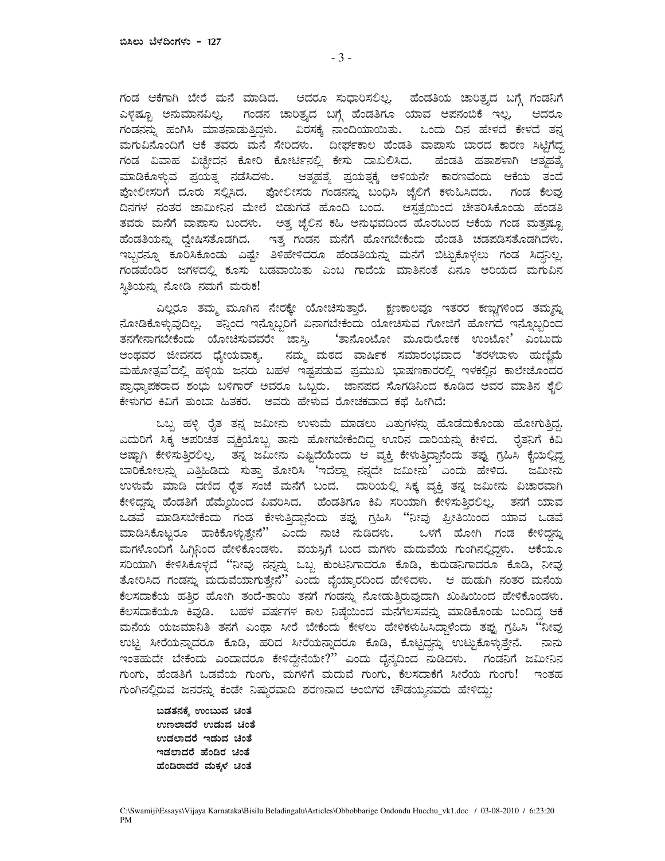ಗಂಡ ಆಕೆಗಾಗಿ ಬೇರೆ ಮನೆ ಮಾಡಿದ. ಆದರೂ ಸುಧಾರಿಸಲಿಲ್ಲ. ಹೆಂಡತಿಯ ಚಾರಿತ್ಯದ ಬಗ್ಗೆ ಗಂಡನಿಗೆ ಎಳ್ಳಷ್ಟೂ ಅನುಮಾನವಿಲ್ಲ. ಗಂಡನ ಚಾರಿತ್ರ್ಯದ ಬಗ್ಗೆ ಹೆಂಡತಿಗೂ ಯಾವ ಅಪನಂಬಿಕೆ ಇಲ್ಲ. ಆದರ ಗಂಡನನ್ನು ಹಂಗಿಸಿ ಮಾತನಾಡುತ್ತಿದ್ದಳು. ವಿರಸಕ್ಕೆ ನಾಂದಿಯಾಯಿತು. ಒಂದು ದಿನ ಹೇಳದೆ ಕೇಳದೆ ತನ್ನ ಮಗುವಿನೊಂದಿಗೆ ಆಕೆ ತವರು ಮನೆ ಸೇರಿದಳು. ದೀರ್ಘಕಾಲ ಹೆಂಡತಿ ವಾಪಾಸು ಬಾರದ ಕಾರಣ ಸಿಟ್ಟಿಗೆದ್ದ ಗಂಡ ವಿವಾಹ ವಿಚ್ಛೇದನ ಕೋರಿ ಕೋರ್ಟಿನಲ್ಲಿ ಕೇಸು ದಾಖಲಿಸಿದ. ಹೆಂಡತಿ ಹತಾಶಳಾಗಿ ಆತ್ಮಹತ್ಯೆ ಮಾಡಿಕೊಳ್ಳುವ ಪ್ರಯತ್ನ ನಡೆಸಿದಳು. ಆತ್ಮಹತ್ಯೆ ಪ್ರಯತ್ನಕ್ಕೆ ಅಳಿಯನೇ ಕಾರಣವೆಂದು ಆಕೆಯ ತಂದೆ ಪೋಲೀಸರಿಗೆ ದೂರು ಸಲ್ಲಿಸಿದ. ಪೋಲೀಸರು ಗಂಡನನ್ನು ಬಂಧಿಸಿ ಜೈಲಿಗೆ ಕಳುಹಿಸಿದರು. ಗಂಡ ಕೆಲವು ದಿನಗಳ ನಂತರ ಜಾಮೀನಿನ ಮೇಲೆ ಬಿಡುಗಡೆ ಹೊಂದಿ ಬಂದ. ಆಸ್ಪತ್ರೆಯಿಂದ ಚೇತರಿಸಿಕೊಂಡು ಹೆಂಡ ತವರು ಮನೆಗೆ ವಾಪಾಸು ಬಂದಳು. ಅತ್ತ ಜೈಲಿನ ಕಹಿ ಅನುಭವದಿಂದ ಹೊರಬಂದ ಆಕೆಯ ಗಂಡ ಮತ್ತಷ್ಟೂ ಹೆಂಡತಿಯನ್ನು ದ್ವೇಷಿಸತೊಡಗಿದ. ಇತ್ತ ಗಂಡನ ಮನೆಗೆ ಹೋಗಬೇಕೆಂದು ಹೆಂಡತಿ ಚಡಪಡಿಸತೊಡಗಿದಳು. ಇಬ್ಬರನ್ನೂ ಕೂರಿಸಿಕೊಂಡು ಎಷ್ಟೇ ತಿಳಿಹೇಳಿದರೂ ಹೆಂಡತಿಯನ್ನು ಮನೆಗೆ ಬಿಟ್ಟುಕೊಳ್ಳಲು ಗಂಡ ಸಿದ್ದನಿಲ್ಲ. ಗಂಡಹೆಂಡಿರ ಜಗಳದಲ್ಲಿ ಕೂಸು ಬಡವಾಯಿತು ಎಂಬ ಗಾದೆಯ ಮಾತಿನಂತೆ ಏನೂ ಅರಿಯದ ಮಗುವಿನ G r ತಿಯನ್ನು ನೋಡಿ ನಮಗೆ ಮರುಕ!

ಎಲ್ಲರೂ ತಮ್ಮ ಮೂಗಿನ ನೇರಕ್ಕೇ ಯೋಚಿಸುತ್ತಾರೆ. ಕ್ಷಣಕಾಲವೂ ಇತರರ ಕಣ್ಣುಗಳಿಂದ ತಮ್ಮನ್ನು ನೋಡಿಕೊಳ್ಳುವುದಿಲ್ಲ. ತನ್ನಿಂದ ಇನ್ನೊಬ್ಬರಿಗೆ ಏನಾಗಬೇಕೆಂದು ಯೋಚಿಸುವ ಗೋಜಿಗೆ ಹೋಗದೆ ಇನ್ನೊಬ್ಬರಿಂದ ತನಗೇನಾಗಬೇಕೆಂದು ಯೋಚಿಸುವವರೇ ಜಾಸ್ತಿ. 'ತಾನೊಂಟೋ ಮೂರುಲೋಕ ಉಂಟೋ' ಎಂಬುದ ಅಂಥವರ ಜೀವನದ ಧ್ಯೇಯವಾಕ್ಯ. ನಮ್ಮ ಮಠದ ವಾರ್ಷಿಕ ಸಮಾರಂಭವಾದ `ತರಳಬಾಳು ಹುಣ್ಣಿವೆ ಮಹೋತ್ಸವ´ದಲ್ಲಿ ಹಳ್ಳಿಯ ಜನರು ಬಹಳ ಇಷ್ಟಪಡುವ ಪ್ರಮುಖ ಭಾಷಣಕಾರರಲ್ಲಿ ಇಳಕಲ್ಲಿನ ಕಾಲೇಜೊಂದರ ಪ್ರಾಧ್ಯಾಪಕರಾದ ಶಂಭು ಬಳಿಗಾರ್ ಅವರೂ ಒಬ್ಬರು. ಜಾನಪದ ಸೊಗಡಿನಿಂದ ಕೂಡಿದ ಅವರ ಮಾತಿನ ಶೈಲಿ ಕೇಳುಗರ ಕಿವಿಗೆ ತುಂಬಾ ಹಿತಕರ. ಅವರು ಹೇಳುವ ರೋಚಕವಾದ ಕಥೆ ಹೀಗಿದೆ

ಒಬ್ಬ ಹಳ್ಳಿ ರೈತ ತನ್ನ ಜಮೀನು ಉಳುಮೆ ಮಾಡಲು ಎತ್ತುಗಳನ್ನು ಹೊಡೆದುಕೊಂಡು ಹೋಗುತ್ತಿದ್ದ. ಎದುರಿಗೆ ಸಿಕ್ಕ ಅಪರಿಚಿತ ವ್ಯಕ್ತಿಯೊಬ್ಬ ತಾನು ಹೋಗಬೇಕೆಂದಿದ್ದ ಊರಿನ ದಾರಿಯನ್ನು ಕೇಳಿದ. ರೈತನಿಗೆ ಕಿವಿ ಅಷ್ಟಾಗಿ ಕೇಳಿಸುತ್ತಿರಲಿಲ್ಲ. ತನ್ನ ಜಮೀನು ಎಷ್ಟಿದೆಯೆಂದು ಆ ವ್ಯಕ್ತಿ ಕೇಳುತ್ತಿದ್ದಾನೆಂದು ತಪ್ಪು ಗ್ರಹಿಸಿ ಕೈಯಲ್ಲಿದ್ದ ಬಾರಿಕೋಲನ್ನು ಎತ್ತಿಹಿಡಿದು ಸುತ್ತಾ ತೋರಿಸಿ `ಇದೆಲ್ಲಾ ನನ್ನದೇ ಜಮೀನು´ ಎಂದು ಹೇಳಿದ. ಜಮೀನ ಉಳುಮೆ ಮಾಡಿ ದಣಿದ ರೈತ ಸಂಜೆ ಮನೆಗೆ ಬಂದ. ದಾರಿಯಲ್ಲಿ ಸಿಕ್ಕ ವ್ಯಕ್ತಿ ತನ್ನ ಜಮೀನು ವಿಚಾರವಾ ಕೇಳಿದ್ದನ್ನು ಹೆಂಡತಿಗೆ ಹೆಮ್ಮೆಯಿಂದ ವಿವರಿಸಿದ. ಹೆಂಡತಿಗೂ ಕಿವಿ ಸರಿಯಾಗಿ ಕೇಳಿಸುತ್ತಿರಲಿಲ್ಲ. ತನಗೆ ಯಾವ ಒಡವೆ ಮಾಡಿಸಬೇಕೆಂದು ಗಂಡ ಕೇಳುತ್ತಿದ್ದಾನೆಂದು ತಪ್ಪು ಗ್ರಹಿಸಿ ``ನೀವು ಪ್ರೀತಿಯಿಂದ ಯಾವ ಒಡವೆ ಮಾಡಿಸಿಕೊಟ್ಟರೂ ಹಾಕಿಕೊಳ್ಳುತ್ತೇನೆ'' ಎಂದು ನಾಚಿ ನುಡಿದಳು. ಒಳಗೆ ಹೋಗಿ ಗಂಡ ಕೇಳಿದ್ದನ್ನು ಮಗಳೊಂದಿಗೆ ಹಿಗ್ಗಿನಿಂದ ಹೇಳಿಕೊಂಡಳು. ವಯಸ್ಸಿಗೆ ಬಂದ ಮಗಳು ಮದುವೆಯ ಗುಂಗಿನಲ್ಲಿದ್ದಳು. ಅಕೆಯ ಸರಿಯಾಗಿ ಕೇಳಿಸಿಕೊಳ್ಳದೆ ''ನೀವು ನನ್ನನ್ನು ಒಬ್ಬ ಕುಂಟನಿಗಾದರೂ ಕೊಡಿ, ಕುರುಡನಿಗಾದರೂ ಕೊಡಿ, ನೀವು ತೋರಿಸಿದ ಗಂಡನ್ನು ಮದುವೆಯಾಗುತ್ತೇನೆ $^{\prime\prime}$  ಎಂದು ವೈಯ್ಯಾರದಿಂದ ಹೇಳಿದಳು. ಆ ಹುಡುಗಿ ನಂತರ ಮನೆಯ ಕೆಲಸದಾಕೆಯ ಹತ್ತಿರ ಹೋಗಿ ತಂದೆ-ತಾಯಿ ತನಗೆ ಗಂಡನ್ನು ನೋಡುತ್ತಿರುವುದಾಗಿ ಖುಷಿಯಿಂದ ಹೇಳಿಕೊಂಡಳು. ಕೆಲಸದಾಕೆಯೂ ಕಿವುಡಿ. ಬಹಳ ವರ್ಷಗಳ ಕಾಲ ನಿಷ್ಠೆಯಿಂದ ಮನೆಗೆಲಸವನ್ನು ಮಾಡಿಕೊಂಡು ಬಂದಿದ್ದ ಆಕೆ ಮನೆಯ ಯಜಮಾನಿತಿ ತನಗೆ ಎಂಥಾ ಸೀರೆ ಬೇಕೆಂದು ಕೇಳಲು ಹೇಳಿಕಳುಹಿಸಿದ್ದಾಳೆಂದು ತಪ್ಪು ಗ್ರಹಿಸಿ ``ನೀವು ಉಟ್ಟ ಸೀರೆಯನ್ನಾದರೂ ಕೊಡಿ, ಹರಿದ ಸೀರೆಯನ್ನಾದರೂ ಕೊಡಿ, ಕೊಟ್ಟದ್ದನ್ನು ಉಟ್ಟುಕೊಳ್ಳುತ್ತೇನೆ. ನಾನ ಇಂತಹುದೇ ಬೇಕೆಂದು ಎಂದಾದರೂ ಕೇಳಿದ್ದೇನೆಯೇ?′´ ಎಂದು ದೈನ್ಯದಿಂದ ನುಡಿದಳು. ಗಂಡನಿಗೆ ಜಮೀನಿನ ಗುಂಗು, ಹೆಂಡತಿಗೆ ಒಡವೆಯ ಗುಂಗು, ಮಗಳಿಗೆ ಮದುವೆ ಗುಂಗು, ಕೆಲಸದಾಕೆಗೆ ಸೀರೆಯ ಗುಂಗು! ಇಂತಹ ಗುಂಗಿನಲ್ಲಿರುವ ಜನರನ್ನು ಕಂಡೇ ನಿಷ್ಠುರವಾದಿ ಶರಣನಾದ ಅಂಬಿಗರ ಚೌಡಯ್ಯನವರು ಹೇಳಿದ್ದು

ಬಡತನಕ್ಕೆ ಉಂಬುವ ಚಿಂತೆ ಉಣಲಾದರೆ ಉಡುವ ಚಿಂತೆ ಉಡಲಾದರೆ ಇಡುವ ಚಿಂತೆ ಇಡಲಾದರೆ ಹೆಂಡಿರ ಚಿಂತೆ ಹೆಂಡಿರಾದರೆ ಮಕ್ಕಳ ಚಿಂತೆ